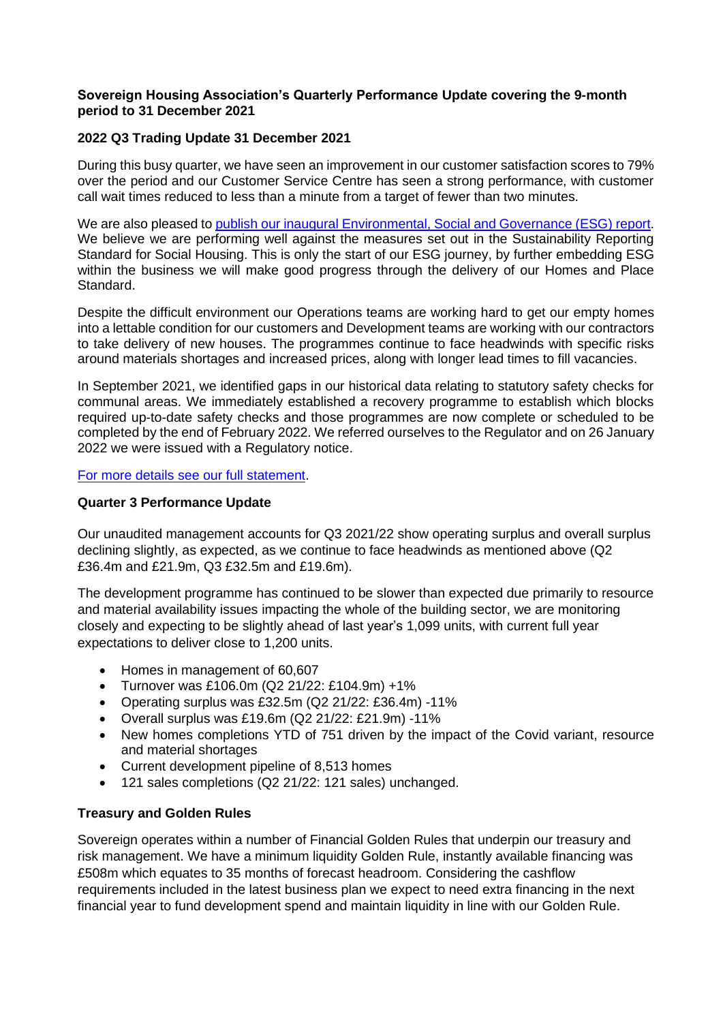#### **Sovereign Housing Association's Quarterly Performance Update covering the 9-month period to 31 December 2021**

## **2022 Q3 Trading Update 31 December 2021**

During this busy quarter, we have seen an improvement in our customer satisfaction scores to 79% over the period and our Customer Service Centre has seen a strong performance, with customer call wait times reduced to less than a minute from a target of fewer than two minutes.

We are also pleased to [publish our inaugural Environmental, Social and Governance \(ESG\) report.](https://assets-eu-01.kc-usercontent.com/c783d326-05c6-0106-90ef-624f23b543bd/ed6e974e-e7d6-47e3-8791-5aed581b5df1/ESG%20Report%202021_Final.pdf) We believe we are performing well against the measures set out in the Sustainability Reporting Standard for Social Housing. This is only the start of our ESG journey, by further embedding ESG within the business we will make good progress through the delivery of our Homes and Place Standard.

Despite the difficult environment our Operations teams are working hard to get our empty homes into a lettable condition for our customers and Development teams are working with our contractors to take delivery of new houses. The programmes continue to face headwinds with specific risks around materials shortages and increased prices, along with longer lead times to fill vacancies.

In September 2021, we identified gaps in our historical data relating to statutory safety checks for communal areas. We immediately established a recovery programme to establish which blocks required up-to-date safety checks and those programmes are now complete or scheduled to be completed by the end of February 2022. We referred ourselves to the Regulator and on 26 January 2022 we were issued with a Regulatory notice.

[For more details see our full statement.](https://www.sovereign.org.uk/press-release/regulatory-notice)

### **Quarter 3 Performance Update**

Our unaudited management accounts for Q3 2021/22 show operating surplus and overall surplus declining slightly, as expected, as we continue to face headwinds as mentioned above (Q2 £36.4m and £21.9m, Q3 £32.5m and £19.6m).

The development programme has continued to be slower than expected due primarily to resource and material availability issues impacting the whole of the building sector, we are monitoring closely and expecting to be slightly ahead of last year's 1,099 units, with current full year expectations to deliver close to 1,200 units.

- Homes in management of 60,607
- Turnover was £106.0m (Q2 21/22: £104.9m) +1%
- Operating surplus was £32.5m (Q2 21/22: £36.4m) -11%
- Overall surplus was £19.6m (Q2 21/22: £21.9m) -11%
- New homes completions YTD of 751 driven by the impact of the Covid variant, resource and material shortages
- Current development pipeline of 8,513 homes
- 121 sales completions (Q2 21/22: 121 sales) unchanged.

### **Treasury and Golden Rules**

Sovereign operates within a number of Financial Golden Rules that underpin our treasury and risk management. We have a minimum liquidity Golden Rule, instantly available financing was £508m which equates to 35 months of forecast headroom. Considering the cashflow requirements included in the latest business plan we expect to need extra financing in the next financial year to fund development spend and maintain liquidity in line with our Golden Rule.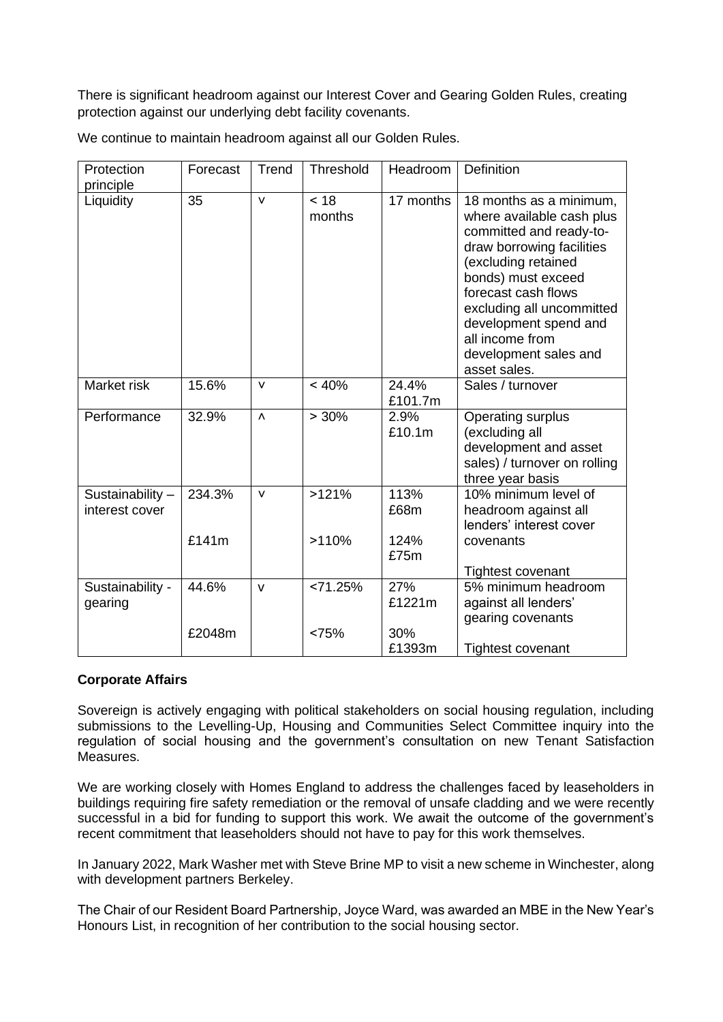There is significant headroom against our Interest Cover and Gearing Golden Rules, creating protection against our underlying debt facility covenants.

| Protection                        | Forecast        | Trend     | Threshold      | Headroom             | <b>Definition</b>                                                                                                                                                                                                                                                                                  |
|-----------------------------------|-----------------|-----------|----------------|----------------------|----------------------------------------------------------------------------------------------------------------------------------------------------------------------------------------------------------------------------------------------------------------------------------------------------|
| principle                         |                 |           |                |                      |                                                                                                                                                                                                                                                                                                    |
| Liquidity                         | 35              | $\vee$    | < 18<br>months | 17 months            | 18 months as a minimum,<br>where available cash plus<br>committed and ready-to-<br>draw borrowing facilities<br>(excluding retained<br>bonds) must exceed<br>forecast cash flows<br>excluding all uncommitted<br>development spend and<br>all income from<br>development sales and<br>asset sales. |
| Market risk                       | 15.6%           | $\vee$    | < 40%          | 24.4%<br>£101.7m     | Sales / turnover                                                                                                                                                                                                                                                                                   |
| Performance                       | 32.9%           | $\Lambda$ | > 30%          | 2.9%<br>£10.1m       | Operating surplus<br>(excluding all<br>development and asset<br>sales) / turnover on rolling<br>three year basis                                                                                                                                                                                   |
| Sustainability-<br>interest cover | 234.3%<br>£141m | $\vee$    | >121%<br>>110% | 113%<br>£68m<br>124% | 10% minimum level of<br>headroom against all<br>lenders' interest cover<br>covenants                                                                                                                                                                                                               |
|                                   |                 |           |                | £75m                 | <b>Tightest covenant</b>                                                                                                                                                                                                                                                                           |
| Sustainability -<br>gearing       | 44.6%           | $\vee$    | < 71.25%       | 27%<br>£1221m        | 5% minimum headroom<br>against all lenders'<br>gearing covenants                                                                                                                                                                                                                                   |
|                                   | £2048m          |           | <75%           | 30%<br>£1393m        | <b>Tightest covenant</b>                                                                                                                                                                                                                                                                           |

We continue to maintain headroom against all our Golden Rules.

### **Corporate Affairs**

Sovereign is actively engaging with political stakeholders on social housing regulation, including submissions to the Levelling-Up, Housing and Communities Select Committee inquiry into the regulation of social housing and the government's consultation on new Tenant Satisfaction Measures.

We are working closely with Homes England to address the challenges faced by leaseholders in buildings requiring fire safety remediation or the removal of unsafe cladding and we were recently successful in a bid for funding to support this work. We await the outcome of the government's recent commitment that leaseholders should not have to pay for this work themselves.

In January 2022, Mark Washer met with Steve Brine MP to visit a new scheme in Winchester, along with development partners Berkeley.

The Chair of our Resident Board Partnership, Joyce Ward, was awarded an MBE in the New Year's Honours List, in recognition of her contribution to the social housing sector.